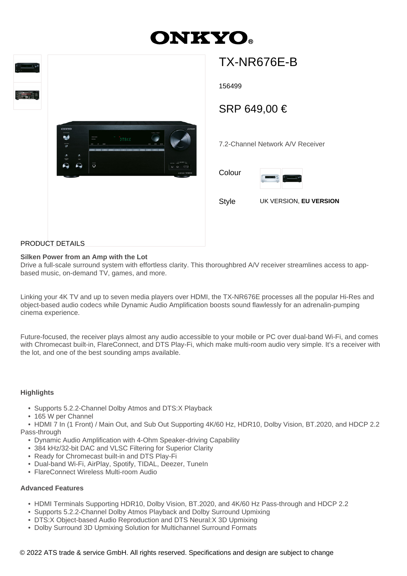# **ONKYO**



# TX-NR676E-B

156499

SRP 649,00 €

7.2-Channel Network A/V Receiver

Colour



Style UK VERSION, **EU VERSION**

# PRODUCT DETAILS

## **Silken Power from an Amp with the Lot**

Drive a full-scale surround system with effortless clarity. This thoroughbred A/V receiver streamlines access to appbased music, on-demand TV, games, and more.

Linking your 4K TV and up to seven media players over HDMI, the TX-NR676E processes all the popular Hi-Res and object-based audio codecs while Dynamic Audio Amplification boosts sound flawlessly for an adrenalin-pumping cinema experience.

Future-focused, the receiver plays almost any audio accessible to your mobile or PC over dual-band Wi-Fi, and comes with Chromecast built-in, FlareConnect, and DTS Play-Fi, which make multi-room audio very simple. It's a receiver with the lot, and one of the best sounding amps available.

### **Highlights**

- Supports 5.2.2-Channel Dolby Atmos and DTS:X Playback
- 165 W per Channel

 • HDMI 7 In (1 Front) / Main Out, and Sub Out Supporting 4K/60 Hz, HDR10, Dolby Vision, BT.2020, and HDCP 2.2 Pass-through

- Dynamic Audio Amplification with 4-Ohm Speaker-driving Capability
- 384 kHz/32-bit DAC and VLSC Filtering for Superior Clarity
- Ready for Chromecast built-in and DTS Play-Fi
- Dual-band Wi-Fi, AirPlay, Spotify, TIDAL, Deezer, TuneIn
- FlareConnect Wireless Multi-room Audio

### **Advanced Features**

- HDMI Terminals Supporting HDR10, Dolby Vision, BT.2020, and 4K/60 Hz Pass-through and HDCP 2.2
- Supports 5.2.2-Channel Dolby Atmos Playback and Dolby Surround Upmixing
- DTS:X Object-based Audio Reproduction and DTS Neural:X 3D Upmixing
- Dolby Surround 3D Upmixing Solution for Multichannel Surround Formats